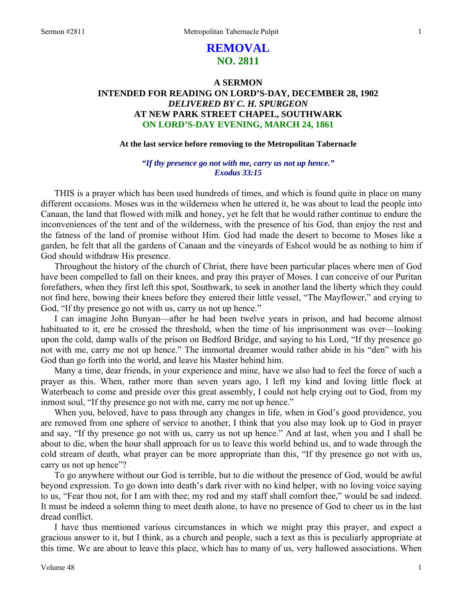# **REMOVAL NO. 2811**

# **A SERMON INTENDED FOR READING ON LORD'S-DAY, DECEMBER 28, 1902**  *DELIVERED BY C. H. SPURGEON*  **AT NEW PARK STREET CHAPEL, SOUTHWARK ON LORD'S-DAY EVENING, MARCH 24, 1861**

### **At the last service before removing to the Metropolitan Tabernacle**

## *"If thy presence go not with me, carry us not up hence." Exodus 33:15*

THIS is a prayer which has been used hundreds of times, and which is found quite in place on many different occasions. Moses was in the wilderness when he uttered it, he was about to lead the people into Canaan, the land that flowed with milk and honey, yet he felt that he would rather continue to endure the inconveniences of the tent and of the wilderness, with the presence of his God, than enjoy the rest and the fatness of the land of promise without Him. God had made the desert to become to Moses like a garden, he felt that all the gardens of Canaan and the vineyards of Eshcol would be as nothing to him if God should withdraw His presence.

Throughout the history of the church of Christ, there have been particular places where men of God have been compelled to fall on their knees, and pray this prayer of Moses. I can conceive of our Puritan forefathers, when they first left this spot, Southwark, to seek in another land the liberty which they could not find here, bowing their knees before they entered their little vessel, "The Mayflower," and crying to God, "If thy presence go not with us, carry us not up hence."

I can imagine John Bunyan—after he had been twelve years in prison, and had become almost habituated to it, ere he crossed the threshold, when the time of his imprisonment was over—looking upon the cold, damp walls of the prison on Bedford Bridge, and saying to his Lord, "If thy presence go not with me, carry me not up hence." The immortal dreamer would rather abide in his "den" with his God than go forth into the world, and leave his Master behind him.

Many a time, dear friends, in your experience and mine, have we also had to feel the force of such a prayer as this. When, rather more than seven years ago, I left my kind and loving little flock at Waterbeach to come and preside over this great assembly, I could not help crying out to God, from my inmost soul, "If thy presence go not with me, carry me not up hence."

When you, beloved, have to pass through any changes in life, when in God's good providence, you are removed from one sphere of service to another, I think that you also may look up to God in prayer and say, "If thy presence go not with us, carry us not up hence." And at last, when you and I shall be about to die, when the hour shall approach for us to leave this world behind us, and to wade through the cold stream of death, what prayer can be more appropriate than this, "If thy presence go not with us, carry us not up hence"?

To go anywhere without our God is terrible, but to die without the presence of God, would be awful beyond expression. To go down into death's dark river with no kind helper, with no loving voice saying to us, "Fear thou not, for I am with thee; my rod and my staff shall comfort thee," would be sad indeed. It must be indeed a solemn thing to meet death alone, to have no presence of God to cheer us in the last dread conflict.

I have thus mentioned various circumstances in which we might pray this prayer, and expect a gracious answer to it, but I think, as a church and people, such a text as this is peculiarly appropriate at this time. We are about to leave this place, which has to many of us, very hallowed associations. When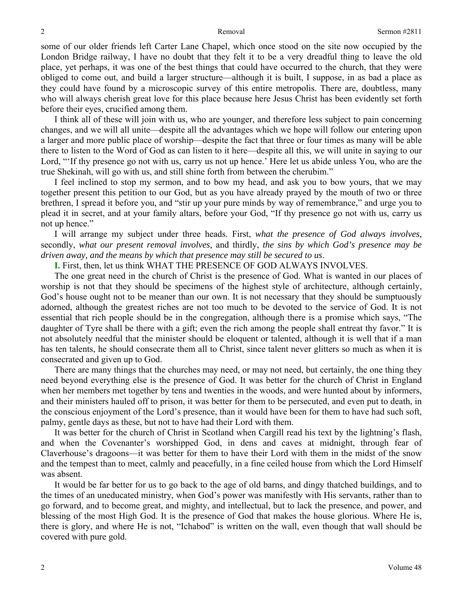some of our older friends left Carter Lane Chapel, which once stood on the site now occupied by the London Bridge railway, I have no doubt that they felt it to be a very dreadful thing to leave the old place, yet perhaps, it was one of the best things that could have occurred to the church, that they were obliged to come out, and build a larger structure—although it is built, I suppose, in as bad a place as they could have found by a microscopic survey of this entire metropolis. There are, doubtless, many who will always cherish great love for this place because here Jesus Christ has been evidently set forth before their eyes, crucified among them.

I think all of these will join with us, who are younger, and therefore less subject to pain concerning changes, and we will all unite—despite all the advantages which we hope will follow our entering upon a larger and more public place of worship—despite the fact that three or four times as many will be able there to listen to the Word of God as can listen to it here—despite all this, we will unite in saying to our Lord, "'If thy presence go not with us, carry us not up hence.' Here let us abide unless You, who are the true Shekinah, will go with us, and still shine forth from between the cherubim."

I feel inclined to stop my sermon, and to bow my head, and ask you to bow yours, that we may together present this petition to our God, but as you have already prayed by the mouth of two or three brethren, I spread it before you, and "stir up your pure minds by way of remembrance," and urge you to plead it in secret, and at your family altars, before your God, "If thy presence go not with us, carry us not up hence."

I will arrange my subject under three heads. First, *what the presence of God always involves,* secondly, *what our present removal involves,* and thirdly, *the sins by which God's presence may be driven away, and the means by which that presence may still be secured to us*.

**I.** First, then, let us think WHAT THE PRESENCE OF GOD ALWAYS INVOLVES.

The one great need in the church of Christ is the presence of God. What is wanted in our places of worship is not that they should be specimens of the highest style of architecture, although certainly, God's house ought not to be meaner than our own. It is not necessary that they should be sumptuously adorned, although the greatest riches are not too much to be devoted to the service of God. It is not essential that rich people should be in the congregation, although there is a promise which says, "The daughter of Tyre shall be there with a gift; even the rich among the people shall entreat thy favor." It is not absolutely needful that the minister should be eloquent or talented, although it is well that if a man has ten talents, he should consecrate them all to Christ, since talent never glitters so much as when it is consecrated and given up to God.

There are many things that the churches may need, or may not need, but certainly, the one thing they need beyond everything else is the presence of God. It was better for the church of Christ in England when her members met together by tens and twenties in the woods, and were hunted about by informers, and their ministers hauled off to prison, it was better for them to be persecuted, and even put to death, in the conscious enjoyment of the Lord's presence, than it would have been for them to have had such soft, palmy, gentle days as these, but not to have had their Lord with them.

It was better for the church of Christ in Scotland when Cargill read his text by the lightning's flash, and when the Covenanter's worshipped God, in dens and caves at midnight, through fear of Claverhouse's dragoons—it was better for them to have their Lord with them in the midst of the snow and the tempest than to meet, calmly and peacefully, in a fine ceiled house from which the Lord Himself was absent.

It would be far better for us to go back to the age of old barns, and dingy thatched buildings, and to the times of an uneducated ministry, when God's power was manifestly with His servants, rather than to go forward, and to become great, and mighty, and intellectual, but to lack the presence, and power, and blessing of the most High God. It is the presence of God that makes the house glorious. Where He is, there is glory, and where He is not, "Ichabod" is written on the wall, even though that wall should be covered with pure gold.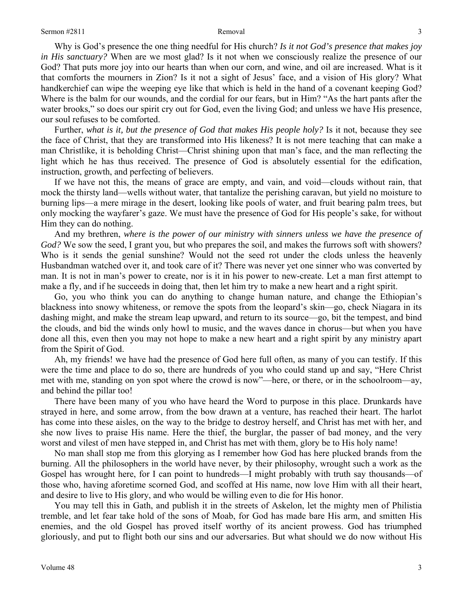Why is God's presence the one thing needful for His church? *Is it not God's presence that makes joy in His sanctuary?* When are we most glad? Is it not when we consciously realize the presence of our God? That puts more joy into our hearts than when our corn, and wine, and oil are increased. What is it that comforts the mourners in Zion? Is it not a sight of Jesus' face, and a vision of His glory? What handkerchief can wipe the weeping eye like that which is held in the hand of a covenant keeping God? Where is the balm for our wounds, and the cordial for our fears, but in Him? "As the hart pants after the water brooks," so does our spirit cry out for God, even the living God; and unless we have His presence, our soul refuses to be comforted.

Further, *what is it, but the presence of God that makes His people holy?* Is it not, because they see the face of Christ, that they are transformed into His likeness? It is not mere teaching that can make a man Christlike, it is beholding Christ—Christ shining upon that man's face, and the man reflecting the light which he has thus received. The presence of God is absolutely essential for the edification, instruction, growth, and perfecting of believers.

If we have not this, the means of grace are empty, and vain, and void—clouds without rain, that mock the thirsty land—wells without water, that tantalize the perishing caravan, but yield no moisture to burning lips—a mere mirage in the desert, looking like pools of water, and fruit bearing palm trees, but only mocking the wayfarer's gaze. We must have the presence of God for His people's sake, for without Him they can do nothing.

And my brethren, *where is the power of our ministry with sinners unless we have the presence of God?* We sow the seed, I grant you, but who prepares the soil, and makes the furrows soft with showers? Who is it sends the genial sunshine? Would not the seed rot under the clods unless the heavenly Husbandman watched over it, and took care of it? There was never yet one sinner who was converted by man. It is not in man's power to create, nor is it in his power to new-create. Let a man first attempt to make a fly, and if he succeeds in doing that, then let him try to make a new heart and a right spirit.

Go, you who think you can do anything to change human nature, and change the Ethiopian's blackness into snowy whiteness, or remove the spots from the leopard's skin—go, check Niagara in its dashing might, and make the stream leap upward, and return to its source—go, bit the tempest, and bind the clouds, and bid the winds only howl to music, and the waves dance in chorus—but when you have done all this, even then you may not hope to make a new heart and a right spirit by any ministry apart from the Spirit of God.

Ah, my friends! we have had the presence of God here full often, as many of you can testify. If this were the time and place to do so, there are hundreds of you who could stand up and say, "Here Christ met with me, standing on yon spot where the crowd is now"—here, or there, or in the schoolroom—ay, and behind the pillar too!

There have been many of you who have heard the Word to purpose in this place. Drunkards have strayed in here, and some arrow, from the bow drawn at a venture, has reached their heart. The harlot has come into these aisles, on the way to the bridge to destroy herself, and Christ has met with her, and she now lives to praise His name. Here the thief, the burglar, the passer of bad money, and the very worst and vilest of men have stepped in, and Christ has met with them, glory be to His holy name!

No man shall stop me from this glorying as I remember how God has here plucked brands from the burning. All the philosophers in the world have never, by their philosophy, wrought such a work as the Gospel has wrought here, for I can point to hundreds—I might probably with truth say thousands—of those who, having aforetime scorned God, and scoffed at His name, now love Him with all their heart, and desire to live to His glory, and who would be willing even to die for His honor.

You may tell this in Gath, and publish it in the streets of Askelon, let the mighty men of Philistia tremble, and let fear take hold of the sons of Moab, for God has made bare His arm, and smitten His enemies, and the old Gospel has proved itself worthy of its ancient prowess. God has triumphed gloriously, and put to flight both our sins and our adversaries. But what should we do now without His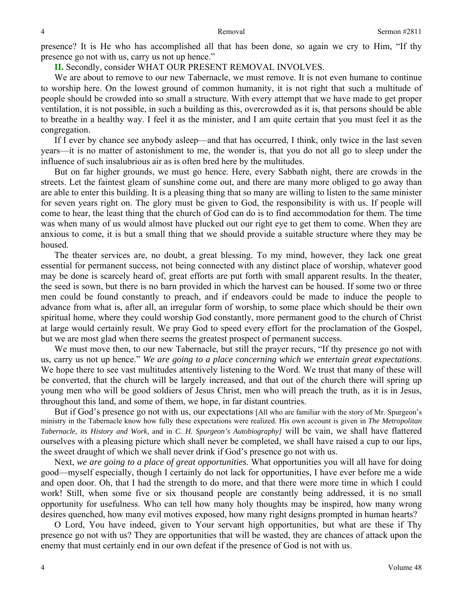presence? It is He who has accomplished all that has been done, so again we cry to Him, "If thy presence go not with us, carry us not up hence."

**II.** Secondly, consider WHAT OUR PRESENT REMOVAL INVOLVES.

We are about to remove to our new Tabernacle, we must remove. It is not even humane to continue to worship here. On the lowest ground of common humanity, it is not right that such a multitude of people should be crowded into so small a structure. With every attempt that we have made to get proper ventilation, it is not possible, in such a building as this, overcrowded as it is, that persons should be able to breathe in a healthy way. I feel it as the minister, and I am quite certain that you must feel it as the congregation.

If I ever by chance see anybody asleep—and that has occurred, I think, only twice in the last seven years—it is no matter of astonishment to me, the wonder is, that you do not all go to sleep under the influence of such insalubrious air as is often bred here by the multitudes.

But on far higher grounds, we must go hence. Here, every Sabbath night, there are crowds in the streets. Let the faintest gleam of sunshine come out, and there are many more obliged to go away than are able to enter this building. It is a pleasing thing that so many are willing to listen to the same minister for seven years right on. The glory must be given to God, the responsibility is with us. If people will come to hear, the least thing that the church of God can do is to find accommodation for them. The time was when many of us would almost have plucked out our right eye to get them to come. When they are anxious to come, it is but a small thing that we should provide a suitable structure where they may be housed.

The theater services are, no doubt, a great blessing. To my mind, however, they lack one great essential for permanent success, not being connected with any distinct place of worship, whatever good may be done is scarcely heard of, great efforts are put forth with small apparent results. In the theater, the seed is sown, but there is no barn provided in which the harvest can be housed. If some two or three men could be found constantly to preach, and if endeavors could be made to induce the people to advance from what is, after all, an irregular form of worship, to some place which should be their own spiritual home, where they could worship God constantly, more permanent good to the church of Christ at large would certainly result. We pray God to speed every effort for the proclamation of the Gospel, but we are most glad when there seems the greatest prospect of permanent success.

We must move then, to our new Tabernacle, but still the prayer recurs, "If thy presence go not with us, carry us not up hence." *We are going to a place concerning which we entertain great expectations*. We hope there to see vast multitudes attentively listening to the Word. We trust that many of these will be converted, that the church will be largely increased, and that out of the church there will spring up young men who will be good soldiers of Jesus Christ, men who will preach the truth, as it is in Jesus, throughout this land, and some of them, we hope, in far distant countries.

But if God's presence go not with us, our expectations [All who are familiar with the story of Mr. Spurgeon's ministry in the Tabernacle know how fully these expectations were realized. His own account is given in *The Metropolitan Tabernacle, its History and Work,* and in *C. H. Spurgeon's Autobiography]* will be vain, we shall have flattered ourselves with a pleasing picture which shall never be completed, we shall have raised a cup to our lips, the sweet draught of which we shall never drink if God's presence go not with us.

Next, *we are going to a place of great opportunities*. What opportunities you will all have for doing good—myself especially, though I certainly do not lack for opportunities, I have ever before me a wide and open door. Oh, that I had the strength to do more, and that there were more time in which I could work! Still, when some five or six thousand people are constantly being addressed, it is no small opportunity for usefulness. Who can tell how many holy thoughts may be inspired, how many wrong desires quenched, how many evil motives exposed, how many right designs prompted in human hearts?

O Lord, You have indeed, given to Your servant high opportunities, but what are these if Thy presence go not with us? They are opportunities that will be wasted, they are chances of attack upon the enemy that must certainly end in our own defeat if the presence of God is not with us.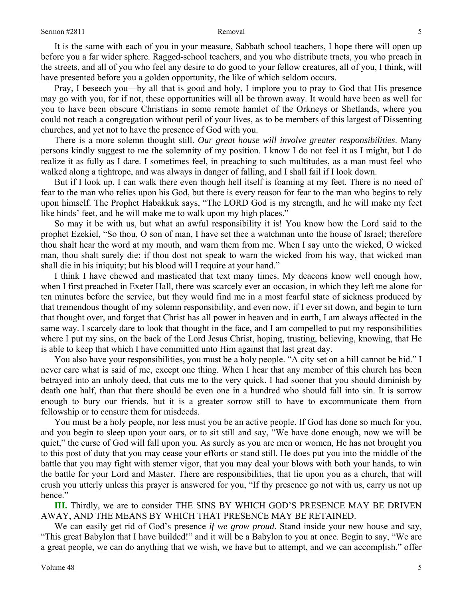It is the same with each of you in your measure, Sabbath school teachers, I hope there will open up before you a far wider sphere. Ragged-school teachers, and you who distribute tracts, you who preach in the streets, and all of you who feel any desire to do good to your fellow creatures, all of you, I think, will have presented before you a golden opportunity, the like of which seldom occurs.

Pray, I beseech you—by all that is good and holy, I implore you to pray to God that His presence may go with you, for if not, these opportunities will all be thrown away. It would have been as well for you to have been obscure Christians in some remote hamlet of the Orkneys or Shetlands, where you could not reach a congregation without peril of your lives, as to be members of this largest of Dissenting churches, and yet not to have the presence of God with you.

There is a more solemn thought still. *Our great house will involve greater responsibilities*. Many persons kindly suggest to me the solemnity of my position. I know I do not feel it as I might, but I do realize it as fully as I dare. I sometimes feel, in preaching to such multitudes, as a man must feel who walked along a tightrope, and was always in danger of falling, and I shall fail if I look down.

But if I look up, I can walk there even though hell itself is foaming at my feet. There is no need of fear to the man who relies upon his God, but there is every reason for fear to the man who begins to rely upon himself. The Prophet Habakkuk says, "The LORD God is my strength, and he will make my feet like hinds' feet, and he will make me to walk upon my high places."

So may it be with us, but what an awful responsibility it is! You know how the Lord said to the prophet Ezekiel, "So thou, O son of man, I have set thee a watchman unto the house of Israel; therefore thou shalt hear the word at my mouth, and warn them from me. When I say unto the wicked, O wicked man, thou shalt surely die; if thou dost not speak to warn the wicked from his way, that wicked man shall die in his iniquity; but his blood will I require at your hand."

I think I have chewed and masticated that text many times. My deacons know well enough how, when I first preached in Exeter Hall, there was scarcely ever an occasion, in which they left me alone for ten minutes before the service, but they would find me in a most fearful state of sickness produced by that tremendous thought of my solemn responsibility, and even now, if I ever sit down, and begin to turn that thought over, and forget that Christ has all power in heaven and in earth, I am always affected in the same way. I scarcely dare to look that thought in the face, and I am compelled to put my responsibilities where I put my sins, on the back of the Lord Jesus Christ, hoping, trusting, believing, knowing, that He is able to keep that which I have committed unto Him against that last great day.

You also have your responsibilities, you must be a holy people. "A city set on a hill cannot be hid." I never care what is said of me, except one thing. When I hear that any member of this church has been betrayed into an unholy deed, that cuts me to the very quick. I had sooner that you should diminish by death one half, than that there should be even one in a hundred who should fall into sin. It is sorrow enough to bury our friends, but it is a greater sorrow still to have to excommunicate them from fellowship or to censure them for misdeeds.

You must be a holy people, nor less must you be an active people. If God has done so much for you, and you begin to sleep upon your oars, or to sit still and say, "We have done enough, now we will be quiet," the curse of God will fall upon you. As surely as you are men or women, He has not brought you to this post of duty that you may cease your efforts or stand still. He does put you into the middle of the battle that you may fight with sterner vigor, that you may deal your blows with both your hands, to win the battle for your Lord and Master. There are responsibilities, that lie upon you as a church, that will crush you utterly unless this prayer is answered for you, "If thy presence go not with us, carry us not up hence."

**III.** Thirdly, we are to consider THE SINS BY WHICH GOD'S PRESENCE MAY BE DRIVEN AWAY, AND THE MEANS BY WHICH THAT PRESENCE MAY BE RETAINED.

We can easily get rid of God's presence *if we grow proud*. Stand inside your new house and say, "This great Babylon that I have builded!" and it will be a Babylon to you at once. Begin to say, "We are a great people, we can do anything that we wish, we have but to attempt, and we can accomplish," offer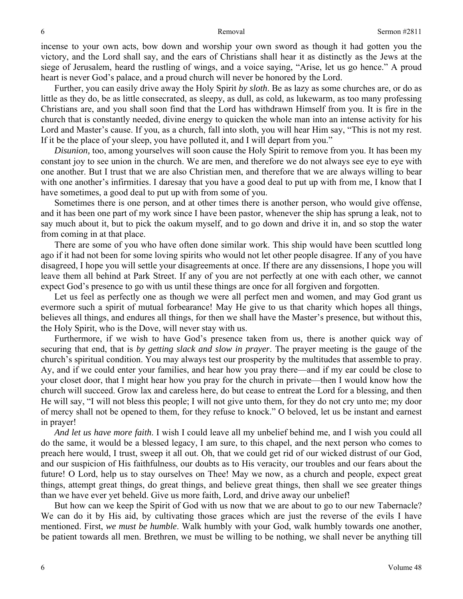incense to your own acts, bow down and worship your own sword as though it had gotten you the victory, and the Lord shall say, and the ears of Christians shall hear it as distinctly as the Jews at the siege of Jerusalem, heard the rustling of wings, and a voice saying, "Arise, let us go hence." A proud heart is never God's palace, and a proud church will never be honored by the Lord.

Further, you can easily drive away the Holy Spirit *by sloth*. Be as lazy as some churches are, or do as little as they do, be as little consecrated, as sleepy, as dull, as cold, as lukewarm, as too many professing Christians are, and you shall soon find that the Lord has withdrawn Himself from you. It is fire in the church that is constantly needed, divine energy to quicken the whole man into an intense activity for his Lord and Master's cause. If you, as a church, fall into sloth, you will hear Him say, "This is not my rest. If it be the place of your sleep, you have polluted it, and I will depart from you."

*Disunion,* too, among yourselves will soon cause the Holy Spirit to remove from you. It has been my constant joy to see union in the church. We are men, and therefore we do not always see eye to eye with one another. But I trust that we are also Christian men, and therefore that we are always willing to bear with one another's infirmities. I daresay that you have a good deal to put up with from me, I know that I have sometimes, a good deal to put up with from some of you.

Sometimes there is one person, and at other times there is another person, who would give offense, and it has been one part of my work since I have been pastor, whenever the ship has sprung a leak, not to say much about it, but to pick the oakum myself, and to go down and drive it in, and so stop the water from coming in at that place.

There are some of you who have often done similar work. This ship would have been scuttled long ago if it had not been for some loving spirits who would not let other people disagree. If any of you have disagreed, I hope you will settle your disagreements at once. If there are any dissensions, I hope you will leave them all behind at Park Street. If any of you are not perfectly at one with each other, we cannot expect God's presence to go with us until these things are once for all forgiven and forgotten.

Let us feel as perfectly one as though we were all perfect men and women, and may God grant us evermore such a spirit of mutual forbearance! May He give to us that charity which hopes all things, believes all things, and endures all things, for then we shall have the Master's presence, but without this, the Holy Spirit, who is the Dove, will never stay with us.

Furthermore, if we wish to have God's presence taken from us, there is another quick way of securing that end, that is *by getting slack and slow in prayer*. The prayer meeting is the gauge of the church's spiritual condition. You may always test our prosperity by the multitudes that assemble to pray. Ay, and if we could enter your families, and hear how you pray there—and if my ear could be close to your closet door, that I might hear how you pray for the church in private—then I would know how the church will succeed. Grow lax and careless here, do but cease to entreat the Lord for a blessing, and then He will say, "I will not bless this people; I will not give unto them, for they do not cry unto me; my door of mercy shall not be opened to them, for they refuse to knock." O beloved, let us be instant and earnest in prayer!

*And let us have more faith*. I wish I could leave all my unbelief behind me, and I wish you could all do the same, it would be a blessed legacy, I am sure, to this chapel, and the next person who comes to preach here would, I trust, sweep it all out. Oh, that we could get rid of our wicked distrust of our God, and our suspicion of His faithfulness, our doubts as to His veracity, our troubles and our fears about the future! O Lord, help us to stay ourselves on Thee! May we now, as a church and people, expect great things, attempt great things, do great things, and believe great things, then shall we see greater things than we have ever yet beheld. Give us more faith, Lord, and drive away our unbelief!

But how can we keep the Spirit of God with us now that we are about to go to our new Tabernacle? We can do it by His aid, by cultivating those graces which are just the reverse of the evils I have mentioned. First, *we must be humble*. Walk humbly with your God, walk humbly towards one another, be patient towards all men. Brethren, we must be willing to be nothing, we shall never be anything till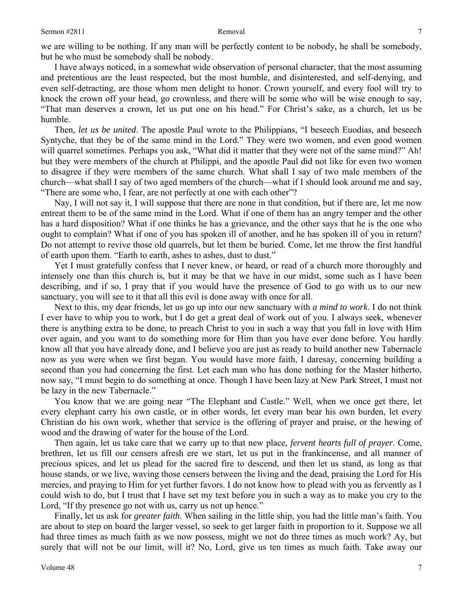we are willing to be nothing. If any man will be perfectly content to be nobody, he shall be somebody, but he who must be somebody shall be nobody.

I have always noticed, in a somewhat wide observation of personal character, that the most assuming and pretentious are the least respected, but the most humble, and disinterested, and self-denying, and even self-detracting, are those whom men delight to honor. Crown yourself, and every fool will try to knock the crown off your head, go crownless, and there will be some who will be wise enough to say, "That man deserves a crown, let us put one on his head." For Christ's sake, as a church, let us be humble.

Then, *let us be united*. The apostle Paul wrote to the Philippians, "I beseech Euodias, and beseech Syntyche, that they be of the same mind in the Lord." They were two women, and even good women will quarrel sometimes. Perhaps you ask, "What did it matter that they were not of the same mind?" Ah! but they were members of the church at Philippi, and the apostle Paul did not like for even two women to disagree if they were members of the same church. What shall I say of two male members of the church—what shall I say of two aged members of the church—what if I should look around me and say, "There are some who, I fear, are not perfectly at one with each other"?

Nay, I will not say it, I will suppose that there are none in that condition, but if there are, let me now entreat them to be of the same mind in the Lord. What if one of them has an angry temper and the other has a hard disposition? What if one thinks he has a grievance, and the other says that he is the one who ought to complain? What if one of you has spoken ill of another, and he has spoken ill of you in return? Do not attempt to revive those old quarrels, but let them be buried. Come, let me throw the first handful of earth upon them. "Earth to earth, ashes to ashes, dust to dust."

Yet I must gratefully confess that I never knew, or heard, or read of a church more thoroughly and intensely one than this church is, but it may be that we have in our midst, some such as I have been describing, and if so, I pray that if you would have the presence of God to go with us to our new sanctuary, you will see to it that all this evil is done away with once for all.

Next to this, my dear friends, let us go up into our new sanctuary with *a mind to work*. I do not think I ever have to whip you to work, but I do get a great deal of work out of you. I always seek, whenever there is anything extra to be done, to preach Christ to you in such a way that you fall in love with Him over again, and you want to do something more for Him than you have ever done before. You hardly know all that you have already done, and I believe you are just as ready to build another new Tabernacle now as you were when we first began. You would have more faith, I daresay, concerning building a second than you had concerning the first. Let each man who has done nothing for the Master hitherto, now say, "I must begin to do something at once. Though I have been lazy at New Park Street, I must not be lazy in the new Tabernacle."

You know that we are going near "The Elephant and Castle." Well, when we once get there, let every elephant carry his own castle, or in other words, let every man bear his own burden, let every Christian do his own work, whether that service is the offering of prayer and praise, or the hewing of wood and the drawing of water for the house of the Lord.

Then again, let us take care that we carry up to that new place, *fervent hearts full of prayer*. Come, brethren, let us fill our censers afresh ere we start, let us put in the frankincense, and all manner of precious spices, and let us plead for the sacred fire to descend, and then let us stand, as long as that house stands, or we live, waving those censers between the living and the dead, praising the Lord for His mercies, and praying to Him for yet further favors. I do not know how to plead with you as fervently as I could wish to do, but I trust that I have set my text before you in such a way as to make you cry to the Lord, "If thy presence go not with us, carry us not up hence."

Finally, let us ask for *greater faith*. When sailing in the little ship, you had the little man's faith. You are about to step on board the larger vessel, so seek to get larger faith in proportion to it. Suppose we all had three times as much faith as we now possess, might we not do three times as much work? Ay, but surely that will not be our limit, will it? No, Lord, give us ten times as much faith. Take away our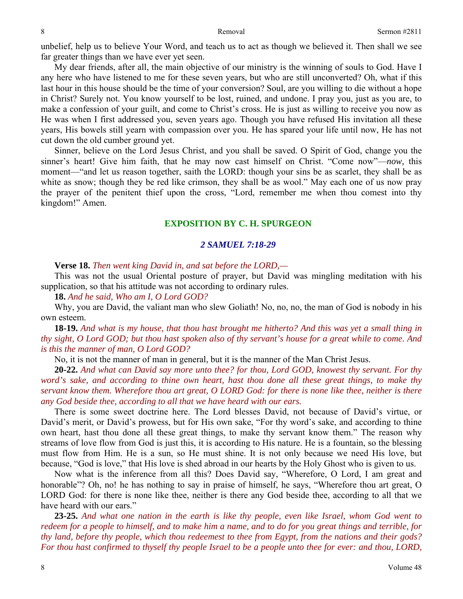unbelief, help us to believe Your Word, and teach us to act as though we believed it. Then shall we see far greater things than we have ever yet seen.

My dear friends, after all, the main objective of our ministry is the winning of souls to God. Have I any here who have listened to me for these seven years, but who are still unconverted? Oh, what if this last hour in this house should be the time of your conversion? Soul, are you willing to die without a hope in Christ? Surely not. You know yourself to be lost, ruined, and undone. I pray you, just as you are, to make a confession of your guilt, and come to Christ's cross. He is just as willing to receive you now as He was when I first addressed you, seven years ago. Though you have refused His invitation all these years, His bowels still yearn with compassion over you. He has spared your life until now, He has not cut down the old cumber ground yet.

Sinner, believe on the Lord Jesus Christ, and you shall be saved. O Spirit of God, change you the sinner's heart! Give him faith, that he may now cast himself on Christ. "Come now"—*now,* this moment—"and let us reason together, saith the LORD: though your sins be as scarlet, they shall be as white as snow; though they be red like crimson, they shall be as wool." May each one of us now pray the prayer of the penitent thief upon the cross, "Lord, remember me when thou comest into thy kingdom!" Amen.

## **EXPOSITION BY C. H. SPURGEON**

### *2 SAMUEL 7:18-29*

### **Verse 18.** *Then went king David in, and sat before the LORD,—*

This was not the usual Oriental posture of prayer, but David was mingling meditation with his supplication, so that his attitude was not according to ordinary rules.

**18.** *And he said, Who am I, O Lord GOD?* 

Why, you are David, the valiant man who slew Goliath! No, no, no, the man of God is nobody in his own esteem.

**18-19.** *And what is my house, that thou hast brought me hitherto? And this was yet a small thing in thy sight, O Lord GOD; but thou hast spoken also of thy servant's house for a great while to come. And is this the manner of man, O Lord GOD?* 

No, it is not the manner of man in general, but it is the manner of the Man Christ Jesus.

**20-22.** *And what can David say more unto thee? for thou, Lord GOD, knowest thy servant. For thy word's sake, and according to thine own heart, hast thou done all these great things, to make thy servant know them. Wherefore thou art great, O LORD God: for there is none like thee, neither is there any God beside thee, according to all that we have heard with our ears.* 

There is some sweet doctrine here. The Lord blesses David, not because of David's virtue, or David's merit, or David's prowess, but for His own sake, "For thy word's sake, and according to thine own heart, hast thou done all these great things, to make thy servant know them." The reason why streams of love flow from God is just this, it is according to His nature. He is a fountain, so the blessing must flow from Him. He is a sun, so He must shine. It is not only because we need His love, but because, "God is love," that His love is shed abroad in our hearts by the Holy Ghost who is given to us.

Now what is the inference from all this? Does David say, "Wherefore, O Lord, I am great and honorable"? Oh, no! he has nothing to say in praise of himself, he says, "Wherefore thou art great, O LORD God: for there is none like thee, neither is there any God beside thee, according to all that we have heard with our ears."

**23-25.** *And what one nation in the earth is like thy people, even like Israel, whom God went to redeem for a people to himself, and to make him a name, and to do for you great things and terrible, for thy land, before thy people, which thou redeemest to thee from Egypt, from the nations and their gods? For thou hast confirmed to thyself thy people Israel to be a people unto thee for ever: and thou, LORD,*